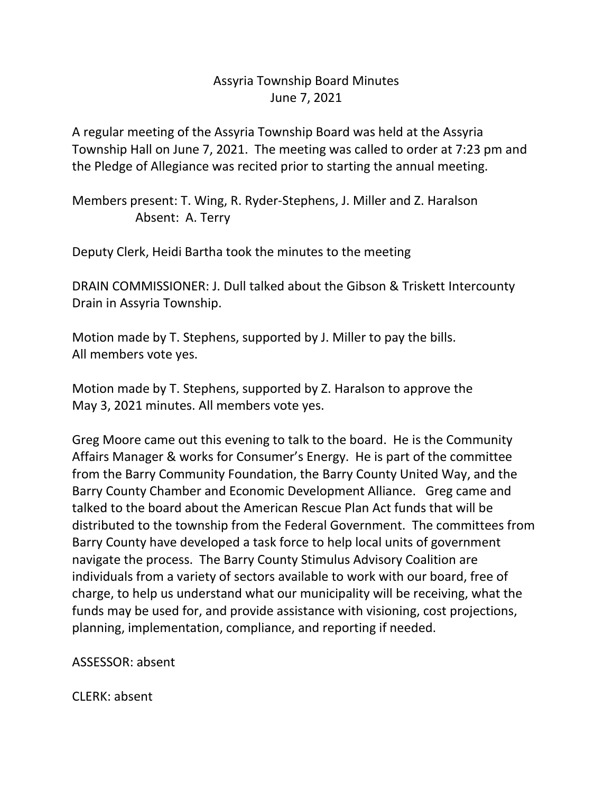## Assyria Township Board Minutes June 7, 2021

A regular meeting of the Assyria Township Board was held at the Assyria Township Hall on June 7, 2021. The meeting was called to order at 7:23 pm and the Pledge of Allegiance was recited prior to starting the annual meeting.

Members present: T. Wing, R. Ryder-Stephens, J. Miller and Z. Haralson Absent: A. Terry

Deputy Clerk, Heidi Bartha took the minutes to the meeting

DRAIN COMMISSIONER: J. Dull talked about the Gibson & Triskett Intercounty Drain in Assyria Township.

Motion made by T. Stephens, supported by J. Miller to pay the bills. All members vote yes.

Motion made by T. Stephens, supported by Z. Haralson to approve the May 3, 2021 minutes. All members vote yes.

Greg Moore came out this evening to talk to the board. He is the Community Affairs Manager & works for Consumer's Energy. He is part of the committee from the Barry Community Foundation, the Barry County United Way, and the Barry County Chamber and Economic Development Alliance. Greg came and talked to the board about the American Rescue Plan Act funds that will be distributed to the township from the Federal Government. The committees from Barry County have developed a task force to help local units of government navigate the process. The Barry County Stimulus Advisory Coalition are individuals from a variety of sectors available to work with our board, free of charge, to help us understand what our municipality will be receiving, what the funds may be used for, and provide assistance with visioning, cost projections, planning, implementation, compliance, and reporting if needed.

ASSESSOR: absent

CLERK: absent